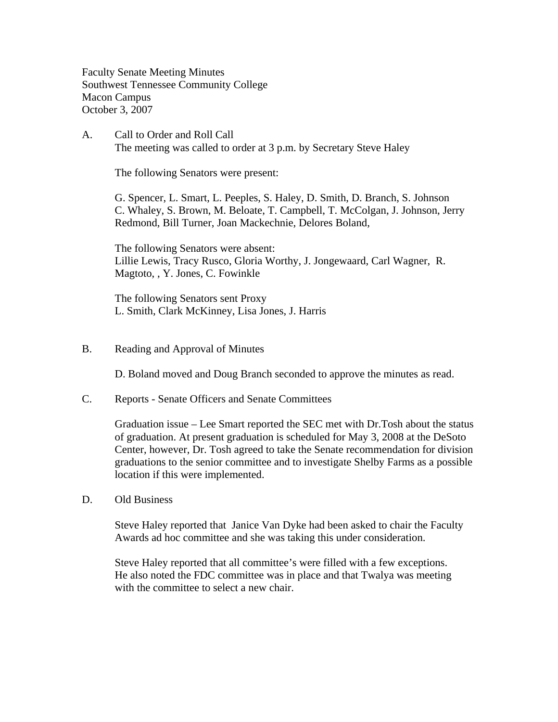Faculty Senate Meeting Minutes Southwest Tennessee Community College Macon Campus October 3, 2007

A. Call to Order and Roll Call The meeting was called to order at 3 p.m. by Secretary Steve Haley

The following Senators were present:

G. Spencer, L. Smart, L. Peeples, S. Haley, D. Smith, D. Branch, S. Johnson C. Whaley, S. Brown, M. Beloate, T. Campbell, T. McColgan, J. Johnson, Jerry Redmond, Bill Turner, Joan Mackechnie, Delores Boland,

The following Senators were absent: Lillie Lewis, Tracy Rusco, Gloria Worthy, J. Jongewaard, Carl Wagner, R. Magtoto, , Y. Jones, C. Fowinkle

The following Senators sent Proxy L. Smith, Clark McKinney, Lisa Jones, J. Harris

B. Reading and Approval of Minutes

D. Boland moved and Doug Branch seconded to approve the minutes as read.

C. Reports - Senate Officers and Senate Committees

Graduation issue – Lee Smart reported the SEC met with Dr.Tosh about the status of graduation. At present graduation is scheduled for May 3, 2008 at the DeSoto Center, however, Dr. Tosh agreed to take the Senate recommendation for division graduations to the senior committee and to investigate Shelby Farms as a possible location if this were implemented.

D. Old Business

Steve Haley reported that Janice Van Dyke had been asked to chair the Faculty Awards ad hoc committee and she was taking this under consideration.

Steve Haley reported that all committee's were filled with a few exceptions. He also noted the FDC committee was in place and that Twalya was meeting with the committee to select a new chair.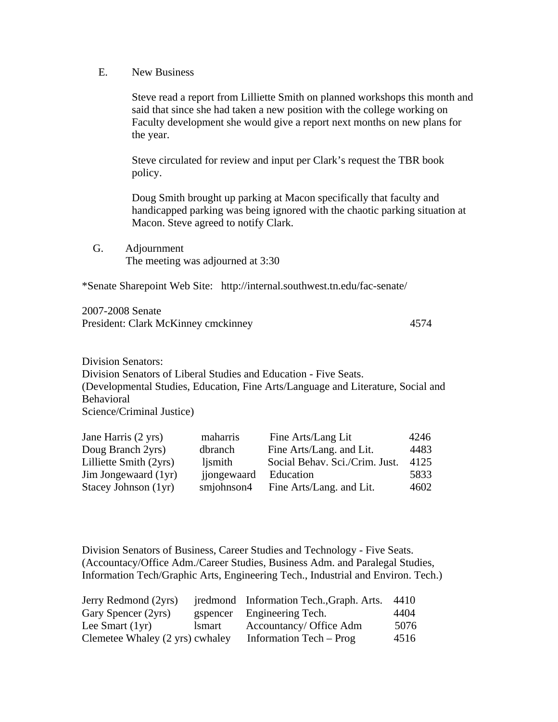E. New Business

Steve read a report from Lilliette Smith on planned workshops this month and said that since she had taken a new position with the college working on Faculty development she would give a report next months on new plans for the year.

Steve circulated for review and input per Clark's request the TBR book policy.

Doug Smith brought up parking at Macon specifically that faculty and handicapped parking was being ignored with the chaotic parking situation at Macon. Steve agreed to notify Clark.

 G. Adjournment The meeting was adjourned at 3:30

\*Senate Sharepoint Web Site: http://internal.southwest.tn.edu/fac-senate/

2007-2008 Senate President: Clark McKinney cmckinney 4574

Division Senators: Division Senators of Liberal Studies and Education - Five Seats. (Developmental Studies, Education, Fine Arts/Language and Literature, Social and Behavioral Science/Criminal Justice)

| Jane Harris (2 yrs)    | maharris    | Fine Arts/Lang Lit             | 4246 |
|------------------------|-------------|--------------------------------|------|
| Doug Branch 2yrs)      | dbranch     | Fine Arts/Lang. and Lit.       | 4483 |
| Lilliette Smith (2yrs) | ljsmith     | Social Behav. Sci./Crim. Just. | 4125 |
| Jim Jongewaard (1yr)   | jjongewaard | Education                      | 5833 |
| Stacey Johnson (1yr)   | smjohnson4  | Fine Arts/Lang. and Lit.       | 4602 |

Division Senators of Business, Career Studies and Technology - Five Seats. (Accountacy/Office Adm./Career Studies, Business Adm. and Paralegal Studies, Information Tech/Graphic Arts, Engineering Tech., Industrial and Environ. Tech.)

| Jerry Redmond (2yrs)            |               | jredmond Information Tech., Graph. Arts. | 4410 |
|---------------------------------|---------------|------------------------------------------|------|
| Gary Spencer (2yrs)             |               | gspencer Engineering Tech.               | 4404 |
| Lee Smart $(1yr)$               | <i>lsmart</i> | Accountancy/ Office Adm                  | 5076 |
| Clemetee Whaley (2 yrs) cwhaley |               | Information Tech – Prog                  | 4516 |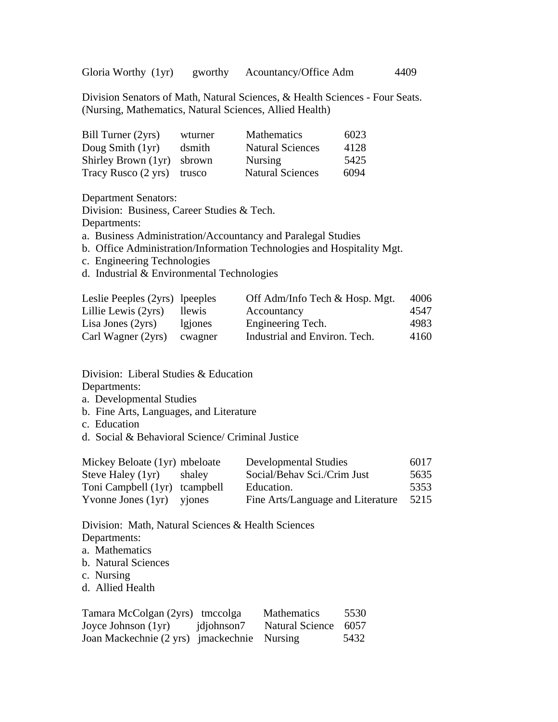Gloria Worthy (1yr) gworthy Acountancy/Office Adm 4409

Division Senators of Math, Natural Sciences, & Health Sciences - Four Seats. (Nursing, Mathematics, Natural Sciences, Allied Health)

| Bill Turner (2yrs)  | wturner | <b>Mathematics</b>      | 6023 |
|---------------------|---------|-------------------------|------|
| Doug Smith $(1yr)$  | dsmith  | <b>Natural Sciences</b> | 4128 |
| Shirley Brown (1yr) | sbrown  | <b>Nursing</b>          | 5425 |
| Tracy Rusco (2 yrs) | trusco  | <b>Natural Sciences</b> | 6094 |

Department Senators:

Division: Business, Career Studies & Tech.

Departments:

a. Business Administration/Accountancy and Paralegal Studies

b. Office Administration/Information Technologies and Hospitality Mgt.

c. Engineering Technologies

d. Industrial & Environmental Technologies

| Leslie Peeples (2yrs) lpeeples |         | Off Adm/Info Tech & Hosp. Mgt. | 4006 |
|--------------------------------|---------|--------------------------------|------|
| Lillie Lewis (2yrs)            | llewis  | Accountancy                    | 4547 |
| Lisa Jones $(2yrs)$            | lgiones | Engineering Tech.              | 4983 |
| Carl Wagner (2yrs)             | cwagner | Industrial and Environ. Tech.  | 4160 |

Division: Liberal Studies & Education

Departments:

a. Developmental Studies

b. Fine Arts, Languages, and Literature

c. Education

d. Social & Behavioral Science/ Criminal Justice

| Mickey Beloate (1yr) mbeloate |        | <b>Developmental Studies</b>      | 6017 |
|-------------------------------|--------|-----------------------------------|------|
| Steve Haley (1yr)             | shaley | Social/Behav Sci./Crim Just       | 5635 |
| Toni Campbell (1yr) tcampbell |        | Education.                        | 5353 |
| Yvonne Jones $(1yr)$ yjones   |        | Fine Arts/Language and Literature | 5215 |

Division: Math, Natural Sciences & Health Sciences Departments:

a. Mathematics

- b. Natural Sciences
- c. Nursing
- d. Allied Health

| Tamara McColgan (2yrs) tmccolga             |            | Mathematics          | 5530 |
|---------------------------------------------|------------|----------------------|------|
| Joyce Johnson $(1yr)$                       | jdjohnson7 | Natural Science 6057 |      |
| Joan Mackechnie (2 yrs) jmackechnie Nursing |            |                      | 5432 |